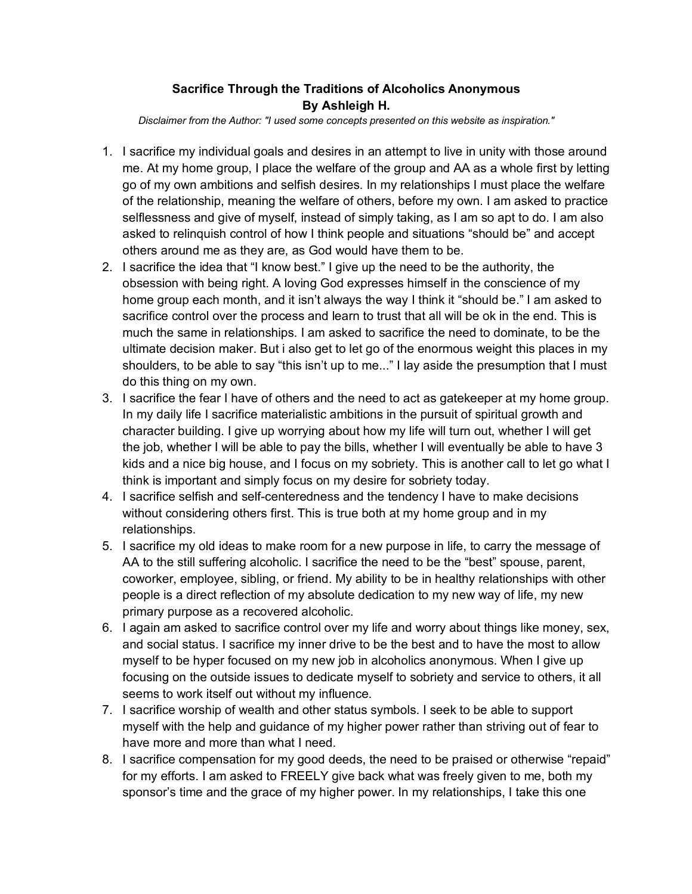## **Sacrifice Through the Traditions of Alcoholics Anonymous By Ashleigh H.**

*Disclaimer from the Author: "I used some concepts presented on this website as inspiration."*

- 1. I sacrifice my individual goals and desires in an attempt to live in unity with those around me. At my home group, I place the welfare of the group and AA as a whole first by letting go of my own ambitions and selfish desires. In my relationships I must place the welfare of the relationship, meaning the welfare of others, before my own. I am asked to practice selflessness and give of myself, instead of simply taking, as I am so apt to do. I am also asked to relinquish control of how I think people and situations "should be" and accept others around me as they are, as God would have them to be.
- 2. I sacrifice the idea that "I know best." I give up the need to be the authority, the obsession with being right. A loving God expresses himself in the conscience of my home group each month, and it isn't always the way I think it "should be." I am asked to sacrifice control over the process and learn to trust that all will be ok in the end. This is much the same in relationships. I am asked to sacrifice the need to dominate, to be the ultimate decision maker. But i also get to let go of the enormous weight this places in my shoulders, to be able to say "this isn't up to me..." I lay aside the presumption that I must do this thing on my own.
- 3. I sacrifice the fear I have of others and the need to act as gatekeeper at my home group. In my daily life I sacrifice materialistic ambitions in the pursuit of spiritual growth and character building. I give up worrying about how my life will turn out, whether I will get the job, whether I will be able to pay the bills, whether I will eventually be able to have 3 kids and a nice big house, and I focus on my sobriety. This is another call to let go what I think is important and simply focus on my desire for sobriety today.
- 4. I sacrifice selfish and self-centeredness and the tendency I have to make decisions without considering others first. This is true both at my home group and in my relationships.
- 5. I sacrifice my old ideas to make room for a new purpose in life, to carry the message of AA to the still suffering alcoholic. I sacrifice the need to be the "best" spouse, parent, coworker, employee, sibling, or friend. My ability to be in healthy relationships with other people is a direct reflection of my absolute dedication to my new way of life, my new primary purpose as a recovered alcoholic.
- 6. I again am asked to sacrifice control over my life and worry about things like money, sex, and social status. I sacrifice my inner drive to be the best and to have the most to allow myself to be hyper focused on my new job in alcoholics anonymous. When I give up focusing on the outside issues to dedicate myself to sobriety and service to others, it all seems to work itself out without my influence.
- 7. I sacrifice worship of wealth and other status symbols. I seek to be able to support myself with the help and guidance of my higher power rather than striving out of fear to have more and more than what I need.
- 8. I sacrifice compensation for my good deeds, the need to be praised or otherwise "repaid" for my efforts. I am asked to FREELY give back what was freely given to me, both my sponsor's time and the grace of my higher power. In my relationships, I take this one